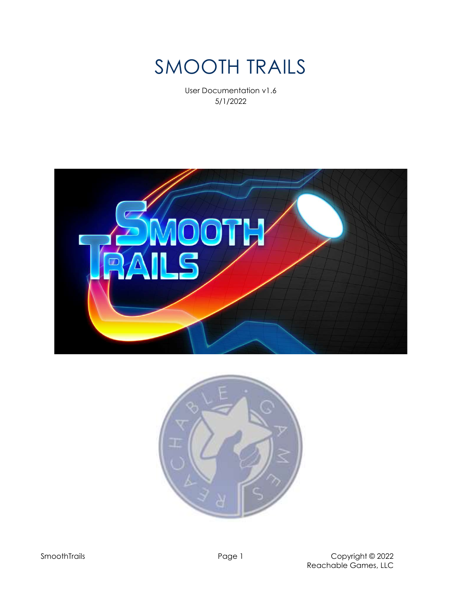# SMOOTH TRAILS

User Documentation v1.6 5/1/2022



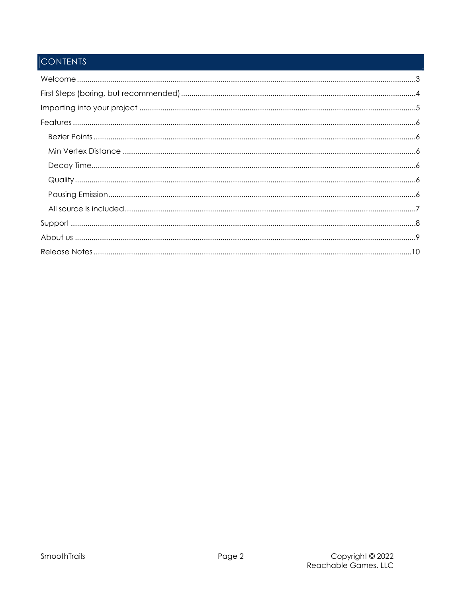## **CONTENTS**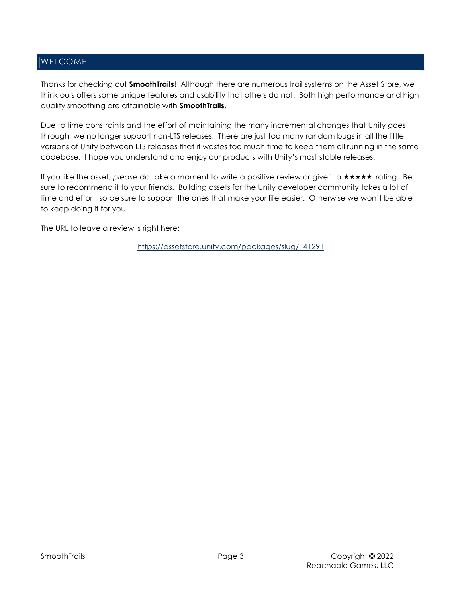## WELCOME

Thanks for checking out **SmoothTrails**! Although there are numerous trail systems on the Asset Store, we think ours offers some unique features and usability that others do not. Both high performance and high quality smoothing are attainable with **SmoothTrails**.

Due to time constraints and the effort of maintaining the many incremental changes that Unity goes through, we no longer support non-LTS releases. There are just too many random bugs in all the little versions of Unity between LTS releases that it wastes too much time to keep them all running in the same codebase. I hope you understand and enjoy our products with Unity's most stable releases.

If you like the asset, please do take a moment to write a positive review or give it a  $\star \star \star \star \star$  rating. Be sure to recommend it to your friends. Building assets for the Unity developer community takes a lot of time and effort, so be sure to support the ones that make your life easier. Otherwise we won't be able to keep doing it for you.

The URL to leave a review is right here:

https://assetstore.unity.com/packages/slug/141291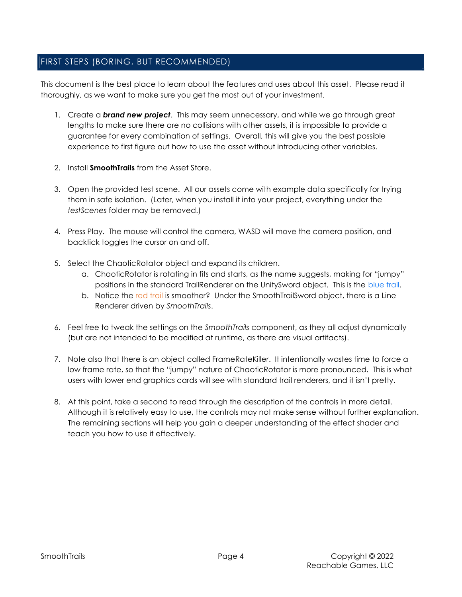## FIRST STEPS (BORING, BUT RECOMMENDED)

This document is the best place to learn about the features and uses about this asset. Please read it thoroughly, as we want to make sure you get the most out of your investment.

- 1. Create a **brand new project**. This may seem unnecessary, and while we go through great lengths to make sure there are no collisions with other assets, it is impossible to provide a guarantee for every combination of settings. Overall, this will give you the best possible experience to first figure out how to use the asset without introducing other variables.
- 2. Install **SmoothTrails** from the Asset Store.
- 3. Open the provided test scene. All our assets come with example data specifically for trying them in safe isolation. (Later, when you install it into your project, everything under the testScenes folder may be removed.)
- 4. Press Play. The mouse will control the camera, WASD will move the camera position, and backtick toggles the cursor on and off.
- 5. Select the ChaoticRotator object and expand its children.
	- a. ChaoticRotator is rotating in fits and starts, as the name suggests, making for "jumpy" positions in the standard TrailRenderer on the UnitySword object. This is the blue trail.
	- b. Notice the red trail is smoother? Under the SmoothTrailSword object, there is a Line Renderer driven by SmoothTrails.
- 6. Feel free to tweak the settings on the SmoothTrails component, as they all adjust dynamically (but are not intended to be modified at runtime, as there are visual artifacts).
- 7. Note also that there is an object called FrameRateKiller. It intentionally wastes time to force a low frame rate, so that the "jumpy" nature of ChaoticRotator is more pronounced. This is what users with lower end graphics cards will see with standard trail renderers, and it isn't pretty.
- 8. At this point, take a second to read through the description of the controls in more detail. Although it is relatively easy to use, the controls may not make sense without further explanation. The remaining sections will help you gain a deeper understanding of the effect shader and teach you how to use it effectively.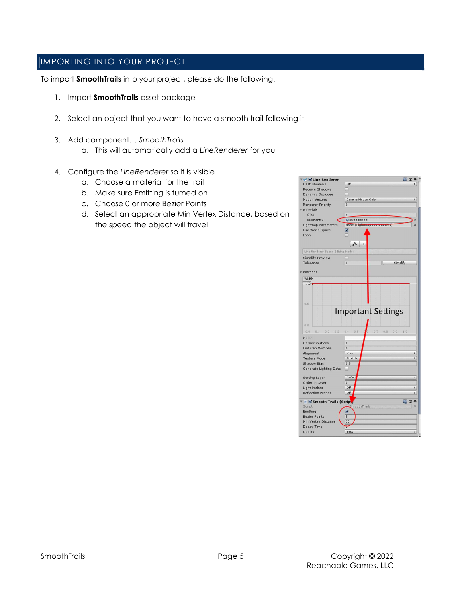## IMPORTING INTO YOUR PROJECT

To import SmoothTrails into your project, please do the following:

- 1. Import SmoothTrails asset package
- 2. Select an object that you want to have a smooth trail following it
- 3. Add component… SmoothTrails
	- a. This will automatically add a LineRenderer for you
- 4. Configure the LineRenderer so it is visible
	- a. Choose a material for the trail
	- b. Make sure Emitting is turned on
	- c. Choose 0 or more Bezier Points
	- d. Select an appropriate Min Vertex Distance, based on the speed the object will travel

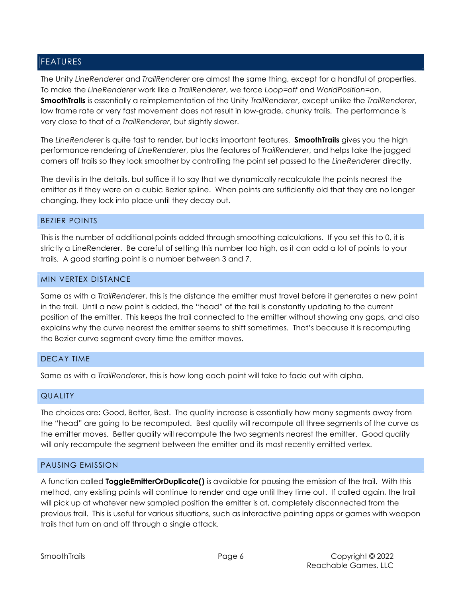## FEATURES

The Unity LineRenderer and TrailRenderer are almost the same thing, except for a handful of properties. To make the LineRenderer work like a TrailRenderer, we force Loop=off and WorldPosition=on. **SmoothTrails** is essentially a reimplementation of the Unity TrailRenderer, except unlike the TrailRenderer, low frame rate or very fast movement does not result in low-grade, chunky trails. The performance is very close to that of a TrailRenderer, but slightly slower.

The LineRenderer is quite fast to render, but lacks important features. **SmoothTrails** gives you the high performance rendering of LineRenderer, plus the features of TrailRenderer, and helps take the jagged corners off trails so they look smoother by controlling the point set passed to the LineRenderer directly.

The devil is in the details, but suffice it to say that we dynamically recalculate the points nearest the emitter as if they were on a cubic Bezier spline. When points are sufficiently old that they are no longer changing, they lock into place until they decay out.

## BEZIER POINTS

This is the number of additional points added through smoothing calculations. If you set this to 0, it is strictly a LineRenderer. Be careful of setting this number too high, as it can add a lot of points to your trails. A good starting point is a number between 3 and 7.

## MIN VERTEX DISTANCE

Same as with a TrailRenderer, this is the distance the emitter must travel before it generates a new point in the trail. Until a new point is added, the "head" of the tail is constantly updating to the current position of the emitter. This keeps the trail connected to the emitter without showing any gaps, and also explains why the curve nearest the emitter seems to shift sometimes. That's because it is recomputing the Bezier curve segment every time the emitter moves.

## DECAY TIME

Same as with a TrailRenderer, this is how long each point will take to fade out with alpha.

## **QUALITY**

The choices are: Good, Better, Best. The quality increase is essentially how many segments away from the "head" are going to be recomputed. Best quality will recompute all three segments of the curve as the emitter moves. Better quality will recompute the two segments nearest the emitter. Good quality will only recompute the segment between the emitter and its most recently emitted vertex.

#### PAUSING EMISSION

A function called ToggleEmitterOrDuplicate() is available for pausing the emission of the trail. With this method, any existing points will continue to render and age until they time out. If called again, the trail will pick up at whatever new sampled position the emitter is at, completely disconnected from the previous trail. This is useful for various situations, such as interactive painting apps or games with weapon trails that turn on and off through a single attack.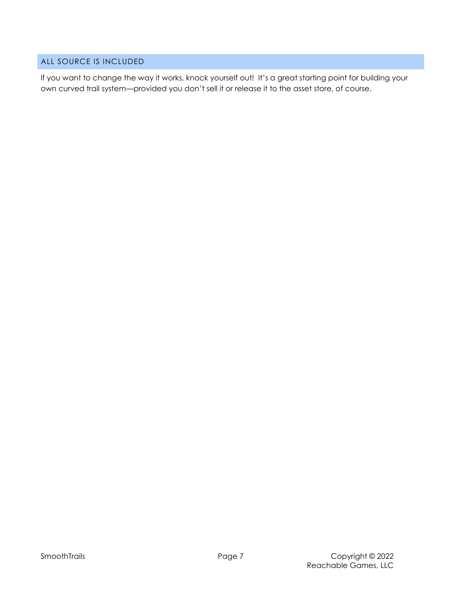## ALL SOURCE IS INCLUDED

If you want to change the way it works, knock yourself out! It's a great starting point for building your own curved trail system—provided you don't sell it or release it to the asset store, of course.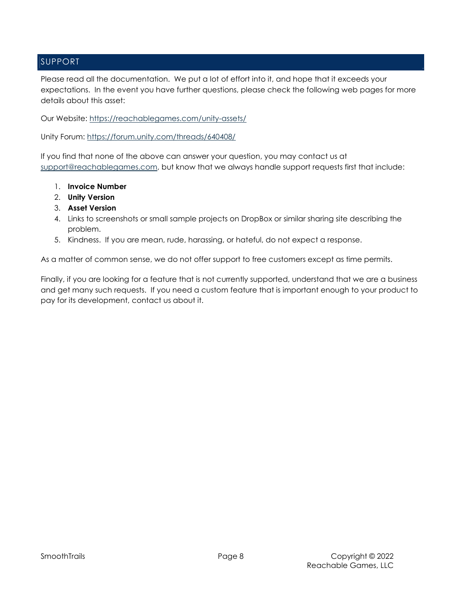## SUPPORT

Please read all the documentation. We put a lot of effort into it, and hope that it exceeds your expectations. In the event you have further questions, please check the following web pages for more details about this asset:

Our Website: https://reachablegames.com/unity-assets/

Unity Forum: https://forum.unity.com/threads/640408/

If you find that none of the above can answer your question, you may contact us at support@reachablegames.com, but know that we always handle support requests first that include:

- 1. Invoice Number
- 2. Unity Version
- 3. Asset Version
- 4. Links to screenshots or small sample projects on DropBox or similar sharing site describing the problem.
- 5. Kindness. If you are mean, rude, harassing, or hateful, do not expect a response.

As a matter of common sense, we do not offer support to free customers except as time permits.

Finally, if you are looking for a feature that is not currently supported, understand that we are a business and get many such requests. If you need a custom feature that is important enough to your product to pay for its development, contact us about it.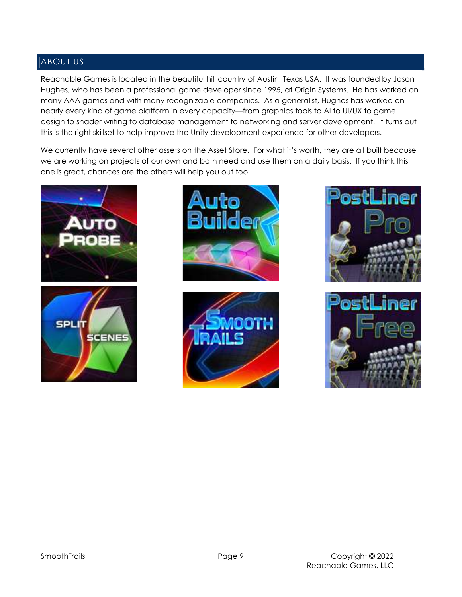## ABOUT US

Reachable Games is located in the beautiful hill country of Austin, Texas USA. It was founded by Jason Hughes, who has been a professional game developer since 1995, at Origin Systems. He has worked on many AAA games and with many recognizable companies. As a generalist, Hughes has worked on nearly every kind of game platform in every capacity—from graphics tools to AI to UI/UX to game design to shader writing to database management to networking and server development. It turns out this is the right skillset to help improve the Unity development experience for other developers.

We currently have several other assets on the Asset Store. For what it's worth, they are all built because we are working on projects of our own and both need and use them on a daily basis. If you think this one is great, chances are the others will help you out too.